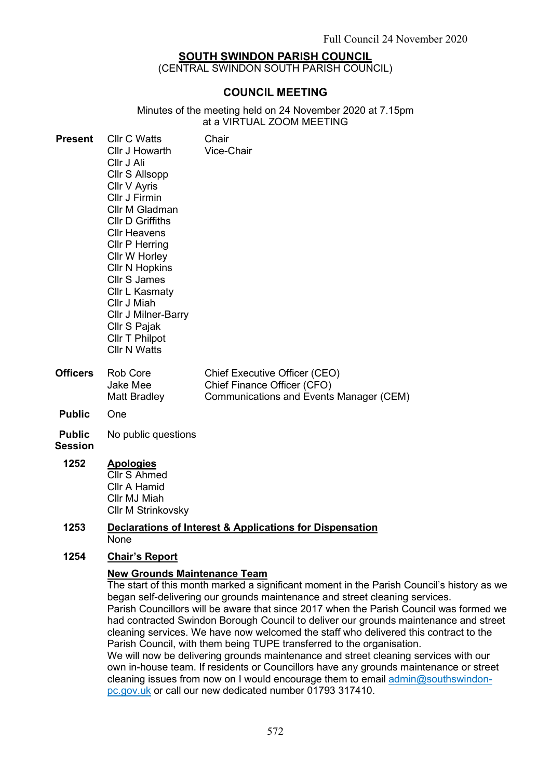### SOUTH SWINDON PARISH COUNCIL

(CENTRAL SWINDON SOUTH PARISH COUNCIL)

### COUNCIL MEETING

Minutes of the meeting held on 24 November 2020 at 7.15pm at a VIRTUAL ZOOM MEETING

| <b>Present</b>  | <b>Cllr C Watts</b><br>Cllr J Howarth<br>Cllr J Ali<br>Cllr S Allsopp<br>Cllr V Ayris<br>Cllr J Firmin<br>Cllr M Gladman<br><b>CIIr D Griffiths</b><br>Cllr Heavens<br>Cllr P Herring<br>Cllr W Horley<br><b>CIIr N Hopkins</b><br><b>Cllr S James</b><br><b>Cllr L Kasmaty</b><br>Cllr J Miah<br><b>Cllr J Milner-Barry</b><br>Cllr S Pajak<br>Cllr T Philpot<br><b>Cllr N Watts</b> | Chair<br><b>Vice-Chair</b>                                   |  |
|-----------------|---------------------------------------------------------------------------------------------------------------------------------------------------------------------------------------------------------------------------------------------------------------------------------------------------------------------------------------------------------------------------------------|--------------------------------------------------------------|--|
| <b>Officers</b> | Rob Core<br>Jake Mee                                                                                                                                                                                                                                                                                                                                                                  | Chief Executive Officer (CEO)<br>Chief Finance Officer (CFO) |  |

- Public One
- Public No public questions

Matt Bradley

### Session

# 1252 Apologies

Cllr S Ahmed Cllr A Hamid Cllr MJ Miah Cllr M Strinkovsky

#### 1253 Declarations of Interest & Applications for Dispensation None

### 1254 Chair's Report

### New Grounds Maintenance Team

The start of this month marked a significant moment in the Parish Council's history as we began self-delivering our grounds maintenance and street cleaning services. Parish Councillors will be aware that since 2017 when the Parish Council was formed we had contracted Swindon Borough Council to deliver our grounds maintenance and street cleaning services. We have now welcomed the staff who delivered this contract to the Parish Council, with them being TUPE transferred to the organisation.

Communications and Events Manager (CEM)

We will now be delivering grounds maintenance and street cleaning services with our own in-house team. If residents or Councillors have any grounds maintenance or street cleaning issues from now on I would encourage them to email admin@southswindonpc.gov.uk or call our new dedicated number 01793 317410.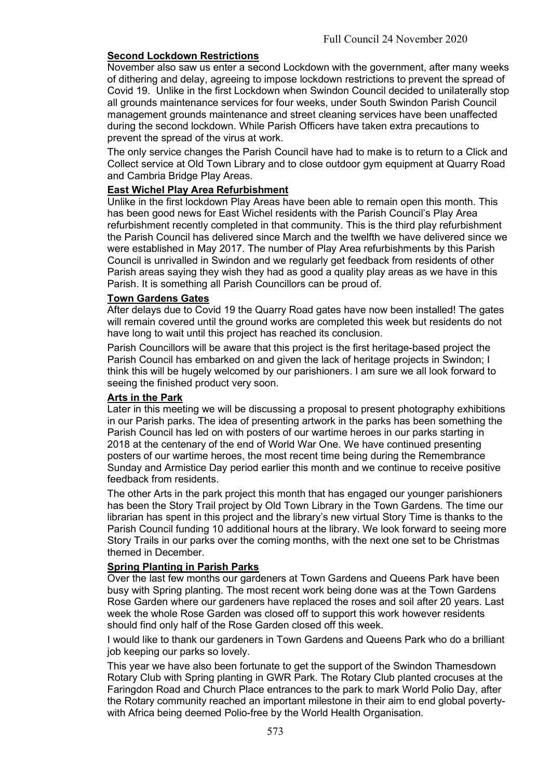### Second Lockdown Restrictions

November also saw us enter a second Lockdown with the government, after many weeks of dithering and delay, agreeing to impose lockdown restrictions to prevent the spread of Covid 19. Unlike in the first Lockdown when Swindon Council decided to unilaterally stop all grounds maintenance services for four weeks, under South Swindon Parish Council management grounds maintenance and street cleaning services have been unaffected during the second lockdown. While Parish Officers have taken extra precautions to prevent the spread of the virus at work.

The only service changes the Parish Council have had to make is to return to a Click and Collect service at Old Town Library and to close outdoor gym equipment at Quarry Road and Cambria Bridge Play Areas.

### East Wichel Play Area Refurbishment

Unlike in the first lockdown Play Areas have been able to remain open this month. This has been good news for East Wichel residents with the Parish Council's Play Area refurbishment recently completed in that community. This is the third play refurbishment the Parish Council has delivered since March and the twelfth we have delivered since we were established in May 2017. The number of Play Area refurbishments by this Parish Council is unrivalled in Swindon and we regularly get feedback from residents of other Parish areas saying they wish they had as good a quality play areas as we have in this Parish. It is something all Parish Councillors can be proud of.

#### Town Gardens Gates

After delays due to Covid 19 the Quarry Road gates have now been installed! The gates will remain covered until the ground works are completed this week but residents do not have long to wait until this project has reached its conclusion.

Parish Councillors will be aware that this project is the first heritage-based project the Parish Council has embarked on and given the lack of heritage projects in Swindon; I think this will be hugely welcomed by our parishioners. I am sure we all look forward to seeing the finished product very soon.

### Arts in the Park

Later in this meeting we will be discussing a proposal to present photography exhibitions in our Parish parks. The idea of presenting artwork in the parks has been something the Parish Council has led on with posters of our wartime heroes in our parks starting in 2018 at the centenary of the end of World War One. We have continued presenting posters of our wartime heroes, the most recent time being during the Remembrance Sunday and Armistice Day period earlier this month and we continue to receive positive feedback from residents.

The other Arts in the park project this month that has engaged our younger parishioners has been the Story Trail project by Old Town Library in the Town Gardens. The time our librarian has spent in this project and the library's new virtual Story Time is thanks to the Parish Council funding 10 additional hours at the library. We look forward to seeing more Story Trails in our parks over the coming months, with the next one set to be Christmas themed in December.

### Spring Planting in Parish Parks

Over the last few months our gardeners at Town Gardens and Queens Park have been busy with Spring planting. The most recent work being done was at the Town Gardens Rose Garden where our gardeners have replaced the roses and soil after 20 years. Last week the whole Rose Garden was closed off to support this work however residents should find only half of the Rose Garden closed off this week.

I would like to thank our gardeners in Town Gardens and Queens Park who do a brilliant job keeping our parks so lovely.

This year we have also been fortunate to get the support of the Swindon Thamesdown Rotary Club with Spring planting in GWR Park. The Rotary Club planted crocuses at the Faringdon Road and Church Place entrances to the park to mark World Polio Day, after the Rotary community reached an important milestone in their aim to end global povertywith Africa being deemed Polio-free by the World Health Organisation.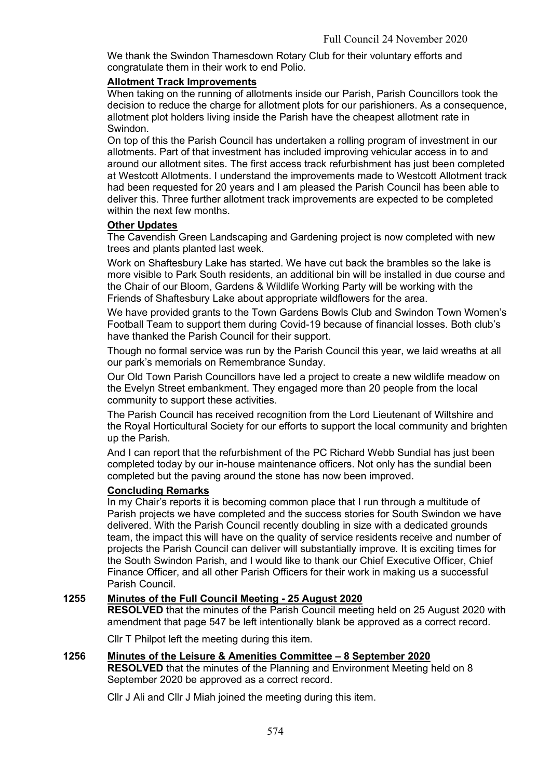We thank the Swindon Thamesdown Rotary Club for their voluntary efforts and congratulate them in their work to end Polio.

### Allotment Track Improvements

When taking on the running of allotments inside our Parish, Parish Councillors took the decision to reduce the charge for allotment plots for our parishioners. As a consequence, allotment plot holders living inside the Parish have the cheapest allotment rate in Swindon.

On top of this the Parish Council has undertaken a rolling program of investment in our allotments. Part of that investment has included improving vehicular access in to and around our allotment sites. The first access track refurbishment has just been completed at Westcott Allotments. I understand the improvements made to Westcott Allotment track had been requested for 20 years and I am pleased the Parish Council has been able to deliver this. Three further allotment track improvements are expected to be completed within the next few months.

### Other Updates

The Cavendish Green Landscaping and Gardening project is now completed with new trees and plants planted last week.

Work on Shaftesbury Lake has started. We have cut back the brambles so the lake is more visible to Park South residents, an additional bin will be installed in due course and the Chair of our Bloom, Gardens & Wildlife Working Party will be working with the Friends of Shaftesbury Lake about appropriate wildflowers for the area.

We have provided grants to the Town Gardens Bowls Club and Swindon Town Women's Football Team to support them during Covid-19 because of financial losses. Both club's have thanked the Parish Council for their support.

Though no formal service was run by the Parish Council this year, we laid wreaths at all our park's memorials on Remembrance Sunday.

Our Old Town Parish Councillors have led a project to create a new wildlife meadow on the Evelyn Street embankment. They engaged more than 20 people from the local community to support these activities.

The Parish Council has received recognition from the Lord Lieutenant of Wiltshire and the Royal Horticultural Society for our efforts to support the local community and brighten up the Parish.

And I can report that the refurbishment of the PC Richard Webb Sundial has just been completed today by our in-house maintenance officers. Not only has the sundial been completed but the paving around the stone has now been improved.

### Concluding Remarks

In my Chair's reports it is becoming common place that I run through a multitude of Parish projects we have completed and the success stories for South Swindon we have delivered. With the Parish Council recently doubling in size with a dedicated grounds team, the impact this will have on the quality of service residents receive and number of projects the Parish Council can deliver will substantially improve. It is exciting times for the South Swindon Parish, and I would like to thank our Chief Executive Officer, Chief Finance Officer, and all other Parish Officers for their work in making us a successful Parish Council.

### 1255 Minutes of the Full Council Meeting - 25 August 2020

RESOLVED that the minutes of the Parish Council meeting held on 25 August 2020 with amendment that page 547 be left intentionally blank be approved as a correct record.

Cllr T Philpot left the meeting during this item.

### 1256 Minutes of the Leisure & Amenities Committee – 8 September 2020

RESOLVED that the minutes of the Planning and Environment Meeting held on 8 September 2020 be approved as a correct record.

Cllr J Ali and Cllr J Miah joined the meeting during this item.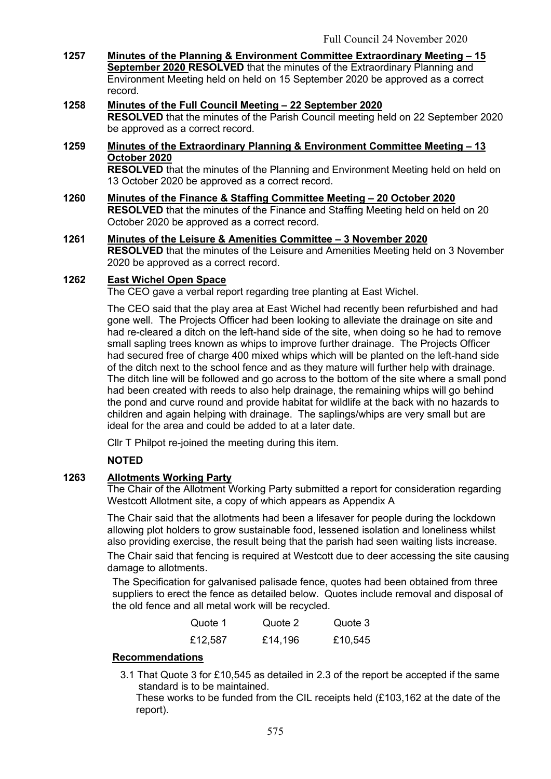- 1257 Minutes of the Planning & Environment Committee Extraordinary Meeting 15 September 2020 RESOLVED that the minutes of the Extraordinary Planning and Environment Meeting held on held on 15 September 2020 be approved as a correct record.
- 1258 Minutes of the Full Council Meeting 22 September 2020 RESOLVED that the minutes of the Parish Council meeting held on 22 September 2020 be approved as a correct record.
- 1259 Minutes of the Extraordinary Planning & Environment Committee Meeting 13 October 2020 RESOLVED that the minutes of the Planning and Environment Meeting held on held on

13 October 2020 be approved as a correct record.

- 1260 Minutes of the Finance & Staffing Committee Meeting 20 October 2020 RESOLVED that the minutes of the Finance and Staffing Meeting held on held on 20 October 2020 be approved as a correct record.
- 1261 Minutes of the Leisure & Amenities Committee 3 November 2020 RESOLVED that the minutes of the Leisure and Amenities Meeting held on 3 November 2020 be approved as a correct record.

### 1262 East Wichel Open Space

The CEO gave a verbal report regarding tree planting at East Wichel.

The CEO said that the play area at East Wichel had recently been refurbished and had gone well. The Projects Officer had been looking to alleviate the drainage on site and had re-cleared a ditch on the left-hand side of the site, when doing so he had to remove small sapling trees known as whips to improve further drainage. The Projects Officer had secured free of charge 400 mixed whips which will be planted on the left-hand side of the ditch next to the school fence and as they mature will further help with drainage. The ditch line will be followed and go across to the bottom of the site where a small pond had been created with reeds to also help drainage, the remaining whips will go behind the pond and curve round and provide habitat for wildlife at the back with no hazards to children and again helping with drainage. The saplings/whips are very small but are ideal for the area and could be added to at a later date.

Cllr T Philpot re-joined the meeting during this item.

## NOTED

## 1263 Allotments Working Party

The Chair of the Allotment Working Party submitted a report for consideration regarding Westcott Allotment site, a copy of which appears as Appendix A

The Chair said that the allotments had been a lifesaver for people during the lockdown allowing plot holders to grow sustainable food, lessened isolation and loneliness whilst also providing exercise, the result being that the parish had seen waiting lists increase.

The Chair said that fencing is required at Westcott due to deer accessing the site causing damage to allotments.

The Specification for galvanised palisade fence, quotes had been obtained from three suppliers to erect the fence as detailed below. Quotes include removal and disposal of the old fence and all metal work will be recycled.

| Quote 1 | Quote 2 | Quote 3 |
|---------|---------|---------|
| £12,587 | £14,196 | £10,545 |

## Recommendations

3.1 That Quote 3 for £10,545 as detailed in 2.3 of the report be accepted if the same standard is to be maintained.

These works to be funded from the CIL receipts held (£103,162 at the date of the report).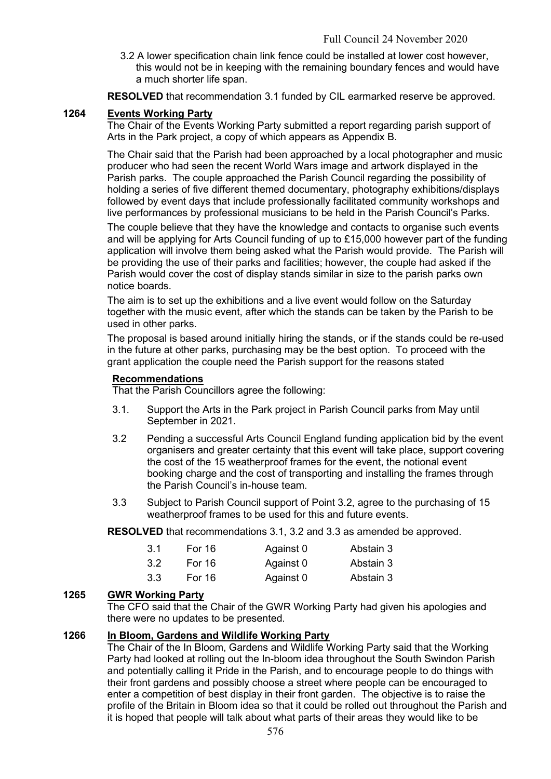3.2 A lower specification chain link fence could be installed at lower cost however, this would not be in keeping with the remaining boundary fences and would have a much shorter life span.

RESOLVED that recommendation 3.1 funded by CIL earmarked reserve be approved.

#### 1264 Events Working Party

The Chair of the Events Working Party submitted a report regarding parish support of Arts in the Park project, a copy of which appears as Appendix B.

The Chair said that the Parish had been approached by a local photographer and music producer who had seen the recent World Wars image and artwork displayed in the Parish parks. The couple approached the Parish Council regarding the possibility of holding a series of five different themed documentary, photography exhibitions/displays followed by event days that include professionally facilitated community workshops and live performances by professional musicians to be held in the Parish Council's Parks.

The couple believe that they have the knowledge and contacts to organise such events and will be applying for Arts Council funding of up to £15,000 however part of the funding application will involve them being asked what the Parish would provide. The Parish will be providing the use of their parks and facilities; however, the couple had asked if the Parish would cover the cost of display stands similar in size to the parish parks own notice boards.

The aim is to set up the exhibitions and a live event would follow on the Saturday together with the music event, after which the stands can be taken by the Parish to be used in other parks.

The proposal is based around initially hiring the stands, or if the stands could be re-used in the future at other parks, purchasing may be the best option. To proceed with the grant application the couple need the Parish support for the reasons stated

#### Recommendations

That the Parish Councillors agree the following:

- 3.1. Support the Arts in the Park project in Parish Council parks from May until September in 2021.
- 3.2 Pending a successful Arts Council England funding application bid by the event organisers and greater certainty that this event will take place, support covering the cost of the 15 weatherproof frames for the event, the notional event booking charge and the cost of transporting and installing the frames through the Parish Council's in-house team.
- 3.3 Subject to Parish Council support of Point 3.2, agree to the purchasing of 15 weatherproof frames to be used for this and future events.

RESOLVED that recommendations 3.1, 3.2 and 3.3 as amended be approved.

| 3.1 | For 16 | Against 0 | Abstain 3 |
|-----|--------|-----------|-----------|
| 3.2 | For 16 | Against 0 | Abstain 3 |
| 3.3 | For 16 | Against 0 | Abstain 3 |

### 1265 GWR Working Party

The CFO said that the Chair of the GWR Working Party had given his apologies and there were no updates to be presented.

### 1266 In Bloom, Gardens and Wildlife Working Party

The Chair of the In Bloom, Gardens and Wildlife Working Party said that the Working Party had looked at rolling out the In-bloom idea throughout the South Swindon Parish and potentially calling it Pride in the Parish, and to encourage people to do things with their front gardens and possibly choose a street where people can be encouraged to enter a competition of best display in their front garden. The objective is to raise the profile of the Britain in Bloom idea so that it could be rolled out throughout the Parish and it is hoped that people will talk about what parts of their areas they would like to be